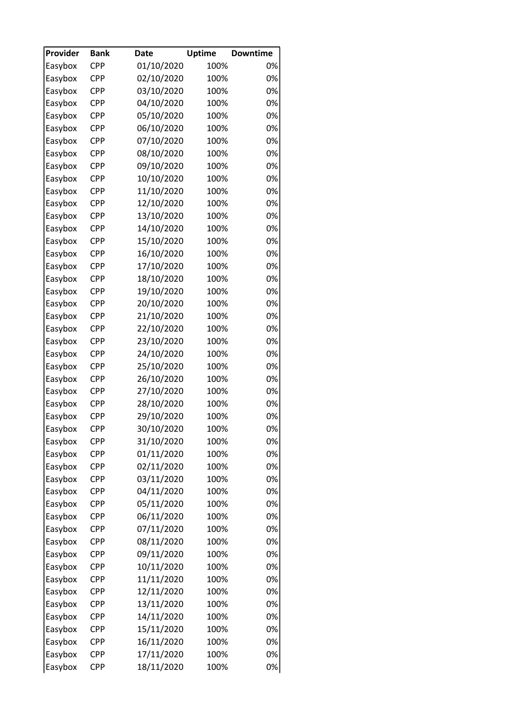| Provider | <b>Bank</b>       | <b>Date</b> | <b>Uptime</b> | <b>Downtime</b> |
|----------|-------------------|-------------|---------------|-----------------|
| Easybox  | <b>CPP</b>        | 01/10/2020  | 100%          | 0%              |
| Easybox  | <b>CPP</b>        | 02/10/2020  | 100%          | 0%              |
| Easybox  | <b>CPP</b>        | 03/10/2020  | 100%          | 0%              |
| Easybox  | <b>CPP</b>        | 04/10/2020  | 100%          | 0%              |
| Easybox  | <b>CPP</b>        | 05/10/2020  | 100%          | 0%              |
| Easybox  | <b>CPP</b>        | 06/10/2020  | 100%          | 0%              |
| Easybox  | <b>CPP</b>        | 07/10/2020  | 100%          | 0%              |
| Easybox  | <b>CPP</b>        | 08/10/2020  | 100%          | 0%              |
| Easybox  | <b>CPP</b>        | 09/10/2020  | 100%          | 0%              |
| Easybox  | <b>CPP</b>        | 10/10/2020  | 100%          | 0%              |
| Easybox  | <b>CPP</b>        | 11/10/2020  | 100%          | 0%              |
| Easybox  | <b>CPP</b>        | 12/10/2020  | 100%          | 0%              |
| Easybox  | <b>CPP</b>        | 13/10/2020  | 100%          | 0%              |
| Easybox  | <b>CPP</b>        | 14/10/2020  | 100%          | 0%              |
| Easybox  | <b>CPP</b>        | 15/10/2020  | 100%          | 0%              |
| Easybox  | <b>CPP</b>        | 16/10/2020  | 100%          | 0%              |
| Easybox  | CPP               | 17/10/2020  | 100%          | 0%              |
| Easybox  | <b>CPP</b>        | 18/10/2020  | 100%          | 0%              |
| Easybox  | <b>CPP</b>        | 19/10/2020  | 100%          | 0%              |
| Easybox  | <b>CPP</b>        | 20/10/2020  | 100%          | 0%              |
| Easybox  | <b>CPP</b>        | 21/10/2020  | 100%          | 0%              |
| Easybox  | <b>CPP</b>        | 22/10/2020  | 100%          | 0%              |
| Easybox  | <b>CPP</b>        | 23/10/2020  | 100%          | 0%              |
| Easybox  | <b>CPP</b>        | 24/10/2020  | 100%          | 0%              |
|          | <b>CPP</b>        | 25/10/2020  | 100%          | 0%              |
| Easybox  |                   |             |               | 0%              |
| Easybox  | CPP<br><b>CPP</b> | 26/10/2020  | 100%          | 0%              |
| Easybox  |                   | 27/10/2020  | 100%          |                 |
| Easybox  | <b>CPP</b>        | 28/10/2020  | 100%          | 0%              |
| Easybox  | <b>CPP</b>        | 29/10/2020  | 100%          | 0%              |
| Easybox  | <b>CPP</b>        | 30/10/2020  | 100%          | 0%              |
| Easybox  | <b>CPP</b>        | 31/10/2020  | 100%          | 0%              |
| Easybox  | CPP               | 01/11/2020  | 100%          | 0%              |
| Easybox  | CPP               | 02/11/2020  | 100%          | 0%              |
| Easybox  | <b>CPP</b>        | 03/11/2020  | 100%          | 0%              |
| Easybox  | CPP               | 04/11/2020  | 100%          | 0%              |
| Easybox  | <b>CPP</b>        | 05/11/2020  | 100%          | 0%              |
| Easybox  | <b>CPP</b>        | 06/11/2020  | 100%          | 0%              |
| Easybox  | CPP               | 07/11/2020  | 100%          | 0%              |
| Easybox  | <b>CPP</b>        | 08/11/2020  | 100%          | 0%              |
| Easybox  | CPP               | 09/11/2020  | 100%          | 0%              |
| Easybox  | <b>CPP</b>        | 10/11/2020  | 100%          | 0%              |
| Easybox  | <b>CPP</b>        | 11/11/2020  | 100%          | 0%              |
| Easybox  | <b>CPP</b>        | 12/11/2020  | 100%          | 0%              |
| Easybox  | <b>CPP</b>        | 13/11/2020  | 100%          | 0%              |
| Easybox  | <b>CPP</b>        | 14/11/2020  | 100%          | 0%              |
| Easybox  | CPP               | 15/11/2020  | 100%          | 0%              |
| Easybox  | CPP               | 16/11/2020  | 100%          | 0%              |
| Easybox  | <b>CPP</b>        | 17/11/2020  | 100%          | 0%              |
| Easybox  | <b>CPP</b>        | 18/11/2020  | 100%          | 0%              |